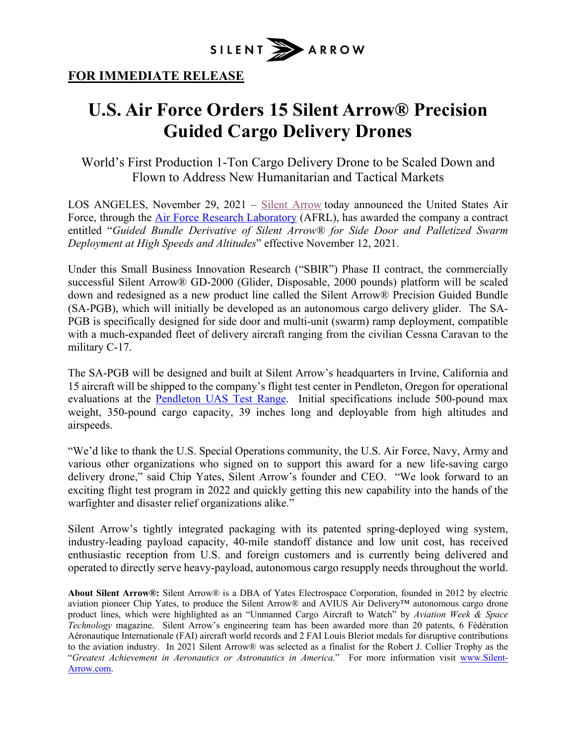

## **FOR IMMEDIATE RELEASE**

## **U.S. Air Force Orders 15 Silent Arrow® Precision Guided Cargo Delivery Drones**

World's First Production 1-Ton Cargo Delivery Drone to be Scaled Down and Flown to Address New Humanitarian and Tactical Markets

LOS ANGELES, November 29, 2021 – Silent Arrow today announced the United States Air Force, through the Air Force Research Laboratory (AFRL), has awarded the company a contract entitled "*Guided Bundle Derivative of Silent Arrow® for Side Door and Palletized Swarm Deployment at High Speeds and Altitudes*" effective November 12, 2021.

Under this Small Business Innovation Research ("SBIR") Phase II contract, the commercially successful Silent Arrow® GD-2000 (Glider, Disposable, 2000 pounds) platform will be scaled down and redesigned as a new product line called the Silent Arrow® Precision Guided Bundle (SA-PGB), which will initially be developed as an autonomous cargo delivery glider. The SA-PGB is specifically designed for side door and multi-unit (swarm) ramp deployment, compatible with a much-expanded fleet of delivery aircraft ranging from the civilian Cessna Caravan to the military C-17.

The SA-PGB will be designed and built at Silent Arrow's headquarters in Irvine, California and 15 aircraft will be shipped to the company's flight test center in Pendleton, Oregon for operational evaluations at the Pendleton UAS Test Range. Initial specifications include 500-pound max weight, 350-pound cargo capacity, 39 inches long and deployable from high altitudes and airspeeds.

"We'd like to thank the U.S. Special Operations community, the U.S. Air Force, Navy, Army and various other organizations who signed on to support this award for a new life-saving cargo delivery drone," said Chip Yates, Silent Arrow's founder and CEO. "We look forward to an exciting flight test program in 2022 and quickly getting this new capability into the hands of the warfighter and disaster relief organizations alike."

Silent Arrow's tightly integrated packaging with its patented spring-deployed wing system, industry-leading payload capacity, 40-mile standoff distance and low unit cost, has received enthusiastic reception from U.S. and foreign customers and is currently being delivered and operated to directly serve heavy-payload, autonomous cargo resupply needs throughout the world.

**About Silent Arrow®:** Silent Arrow® is a DBA of Yates Electrospace Corporation, founded in 2012 by electric aviation pioneer Chip Yates, to produce the Silent Arrow® and AVIUS Air Delivery™ autonomous cargo drone product lines, which were highlighted as an "Unmanned Cargo Aircraft to Watch" by *Aviation Week & Space Technology* magazine. Silent Arrow's engineering team has been awarded more than 20 patents, 6 Fédération Aéronautique Internationale (FAI) aircraft world records and 2 FAI Louis Bleriot medals for disruptive contributions to the aviation industry. In 2021 Silent Arrow® was selected as a finalist for the Robert J. Collier Trophy as the "*Greatest Achievement in Aeronautics or Astronautics in America.*" For more information visit www.Silent-Arrow.com.